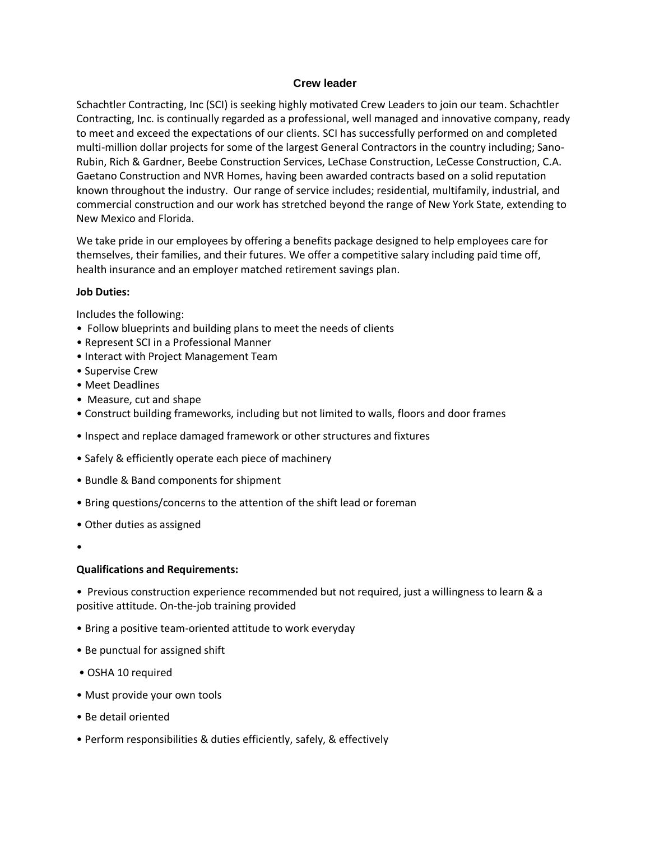## **Crew leader**

Schachtler Contracting, Inc (SCI) is seeking highly motivated Crew Leaders to join our team. Schachtler Contracting, Inc. is continually regarded as a professional, well managed and innovative company, ready to meet and exceed the expectations of our clients. SCI has successfully performed on and completed multi-million dollar projects for some of the largest General Contractors in the country including; Sano-Rubin, Rich & Gardner, Beebe Construction Services, LeChase Construction, LeCesse Construction, C.A. Gaetano Construction and NVR Homes, having been awarded contracts based on a solid reputation known throughout the industry. Our range of service includes; residential, multifamily, industrial, and commercial construction and our work has stretched beyond the range of New York State, extending to New Mexico and Florida.

We take pride in our employees by offering a benefits package designed to help employees care for themselves, their families, and their futures. We offer a competitive salary including paid time off, health insurance and an employer matched retirement savings plan.

## **Job Duties:**

Includes the following:

- Follow blueprints and building plans to meet the needs of clients
- Represent SCI in a Professional Manner
- Interact with Project Management Team
- Supervise Crew
- Meet Deadlines
- Measure, cut and shape
- Construct building frameworks, including but not limited to walls, floors and door frames
- Inspect and replace damaged framework or other structures and fixtures
- Safely & efficiently operate each piece of machinery
- Bundle & Band components for shipment
- Bring questions/concerns to the attention of the shift lead or foreman
- Other duties as assigned
- •

## **Qualifications and Requirements:**

• Previous construction experience recommended but not required, just a willingness to learn & a positive attitude. On-the-job training provided

- Bring a positive team-oriented attitude to work everyday
- Be punctual for assigned shift
- OSHA 10 required
- Must provide your own tools
- Be detail oriented
- Perform responsibilities & duties efficiently, safely, & effectively